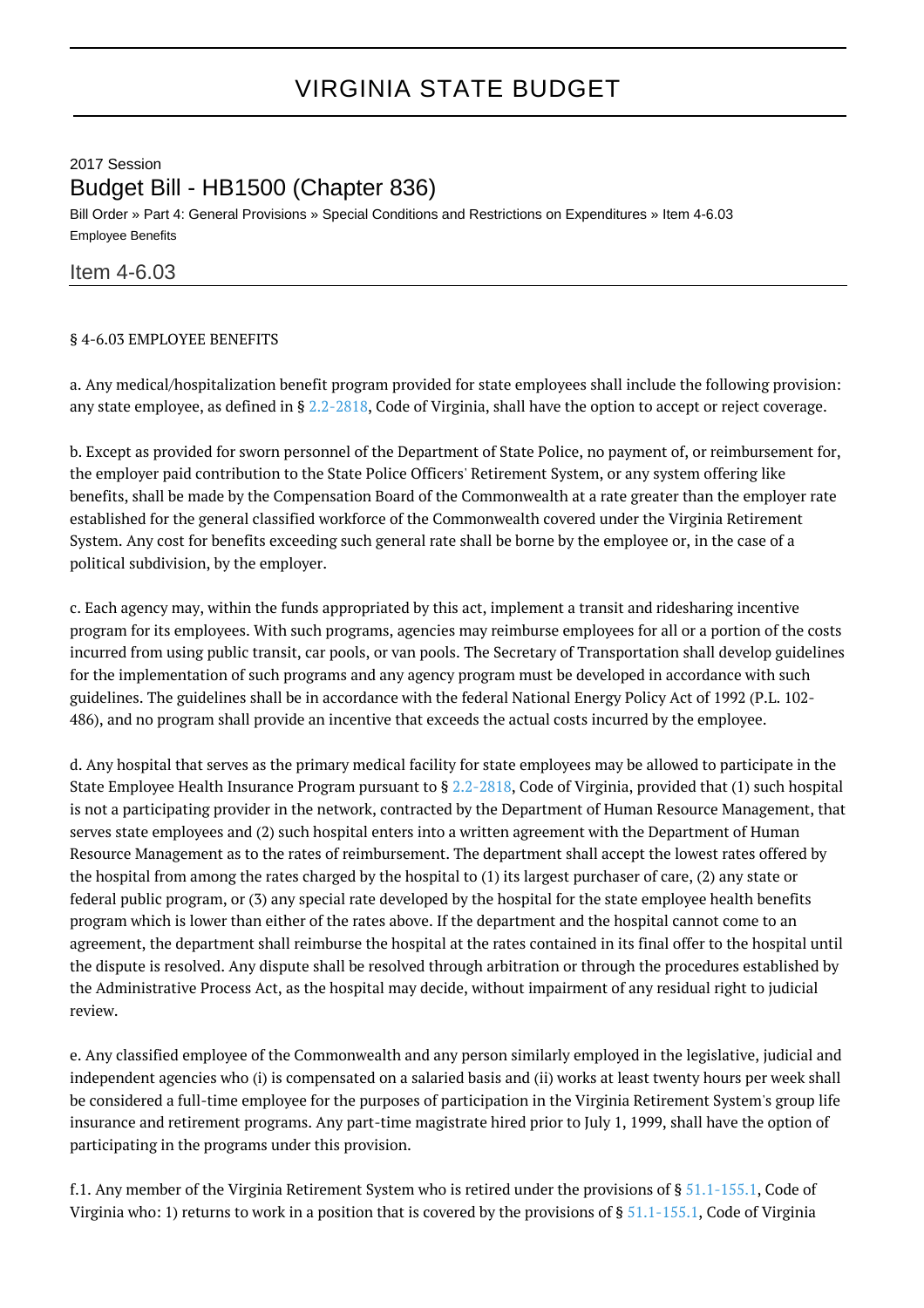## 2017 Session Budget Bill - HB1500 (Chapter 836)

Bill Order » Part 4: General Provisions » Special Conditions and Restrictions on Expenditures » Item 4-6.03 Employee Benefits

## Item 4-6.03

## § 4-6.03 EMPLOYEE BENEFITS

a. Any medical/hospitalization benefit program provided for state employees shall include the following provision: any state employee, as defined in § [2.2-2818,](http://law.lis.virginia.gov/vacode/2.2-2818/) Code of Virginia, shall have the option to accept or reject coverage.

b. Except as provided for sworn personnel of the Department of State Police, no payment of, or reimbursement for, the employer paid contribution to the State Police Officers' Retirement System, or any system offering like benefits, shall be made by the Compensation Board of the Commonwealth at a rate greater than the employer rate established for the general classified workforce of the Commonwealth covered under the Virginia Retirement System. Any cost for benefits exceeding such general rate shall be borne by the employee or, in the case of a political subdivision, by the employer.

c. Each agency may, within the funds appropriated by this act, implement a transit and ridesharing incentive program for its employees. With such programs, agencies may reimburse employees for all or a portion of the costs incurred from using public transit, car pools, or van pools. The Secretary of Transportation shall develop guidelines for the implementation of such programs and any agency program must be developed in accordance with such guidelines. The guidelines shall be in accordance with the federal National Energy Policy Act of 1992 (P.L. 102- 486), and no program shall provide an incentive that exceeds the actual costs incurred by the employee.

d. Any hospital that serves as the primary medical facility for state employees may be allowed to participate in the State Employee Health Insurance Program pursuant to § [2.2-2818](http://law.lis.virginia.gov/vacode/2.2-2818/), Code of Virginia, provided that (1) such hospital is not a participating provider in the network, contracted by the Department of Human Resource Management, that serves state employees and (2) such hospital enters into a written agreement with the Department of Human Resource Management as to the rates of reimbursement. The department shall accept the lowest rates offered by the hospital from among the rates charged by the hospital to (1) its largest purchaser of care, (2) any state or federal public program, or (3) any special rate developed by the hospital for the state employee health benefits program which is lower than either of the rates above. If the department and the hospital cannot come to an agreement, the department shall reimburse the hospital at the rates contained in its final offer to the hospital until the dispute is resolved. Any dispute shall be resolved through arbitration or through the procedures established by the Administrative Process Act, as the hospital may decide, without impairment of any residual right to judicial review.

e. Any classified employee of the Commonwealth and any person similarly employed in the legislative, judicial and independent agencies who (i) is compensated on a salaried basis and (ii) works at least twenty hours per week shall be considered a full-time employee for the purposes of participation in the Virginia Retirement System's group life insurance and retirement programs. Any part-time magistrate hired prior to July 1, 1999, shall have the option of participating in the programs under this provision.

f.1. Any member of the Virginia Retirement System who is retired under the provisions of  $\S 51.1$ -155.1, Code of Virginia who: 1) returns to work in a position that is covered by the provisions of § [51.1-155.1,](http://law.lis.virginia.gov/vacode/51.1-155.1/) Code of Virginia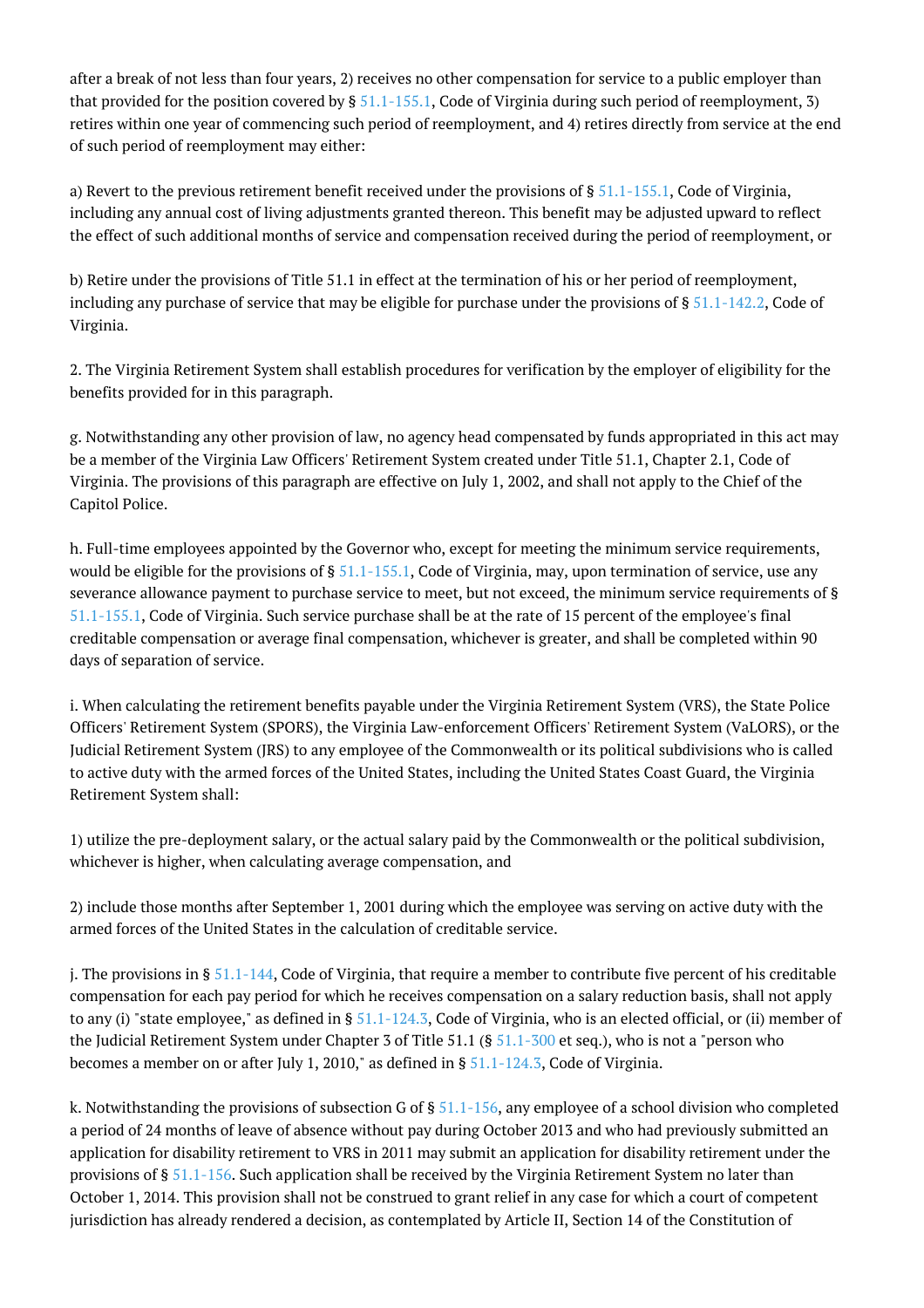after a break of not less than four years, 2) receives no other compensation for service to a public employer than that provided for the position covered by  $\S 51.1-155.1$ , Code of Virginia during such period of reemployment, 3) retires within one year of commencing such period of reemployment, and 4) retires directly from service at the end of such period of reemployment may either:

a) Revert to the previous retirement benefit received under the provisions of § [51.1-155.1](http://law.lis.virginia.gov/vacode/51.1-155.1/), Code of Virginia, including any annual cost of living adjustments granted thereon. This benefit may be adjusted upward to reflect the effect of such additional months of service and compensation received during the period of reemployment, or

b) Retire under the provisions of Title 51.1 in effect at the termination of his or her period of reemployment, including any purchase of service that may be eligible for purchase under the provisions of § [51.1-142.2](http://law.lis.virginia.gov/vacode/51.1-142.2/), Code of Virginia.

2. The Virginia Retirement System shall establish procedures for verification by the employer of eligibility for the benefits provided for in this paragraph.

g. Notwithstanding any other provision of law, no agency head compensated by funds appropriated in this act may be a member of the Virginia Law Officers' Retirement System created under Title 51.1, Chapter 2.1, Code of Virginia. The provisions of this paragraph are effective on July 1, 2002, and shall not apply to the Chief of the Capitol Police.

h. Full-time employees appointed by the Governor who, except for meeting the minimum service requirements, would be eligible for the provisions of  $\S 51.1-155.1$  $\S 51.1-155.1$ , Code of Virginia, may, upon termination of service, use any severance allowance payment to purchase service to meet, but not exceed, the minimum service requirements of § [51.1-155.1,](http://law.lis.virginia.gov/vacode/51.1-155.1/) Code of Virginia. Such service purchase shall be at the rate of 15 percent of the employee's final creditable compensation or average final compensation, whichever is greater, and shall be completed within 90 days of separation of service.

i. When calculating the retirement benefits payable under the Virginia Retirement System (VRS), the State Police Officers' Retirement System (SPORS), the Virginia Law-enforcement Officers' Retirement System (VaLORS), or the Judicial Retirement System (JRS) to any employee of the Commonwealth or its political subdivisions who is called to active duty with the armed forces of the United States, including the United States Coast Guard, the Virginia Retirement System shall:

1) utilize the pre-deployment salary, or the actual salary paid by the Commonwealth or the political subdivision, whichever is higher, when calculating average compensation, and

2) include those months after September 1, 2001 during which the employee was serving on active duty with the armed forces of the United States in the calculation of creditable service.

j. The provisions in §  $51.1-144$ , Code of Virginia, that require a member to contribute five percent of his creditable compensation for each pay period for which he receives compensation on a salary reduction basis, shall not apply to any (i) "state employee," as defined in §  $51.1-124.3$ , Code of Virginia, who is an elected official, or (ii) member of the Judicial Retirement System under Chapter 3 of Title 51.1 (§ [51.1-300](http://law.lis.virginia.gov/vacode/51.1-300/) et seq.), who is not a "person who becomes a member on or after July 1, 2010," as defined in  $\S$  [51.1-124.3,](http://law.lis.virginia.gov/vacode/51.1-124.3/) Code of Virginia.

k. Notwithstanding the provisions of subsection G of  $\S$  [51.1-156,](http://law.lis.virginia.gov/vacode/51.1-156/) any employee of a school division who completed a period of 24 months of leave of absence without pay during October 2013 and who had previously submitted an application for disability retirement to VRS in 2011 may submit an application for disability retirement under the provisions of § [51.1-156](http://law.lis.virginia.gov/vacode/51.1-156/). Such application shall be received by the Virginia Retirement System no later than October 1, 2014. This provision shall not be construed to grant relief in any case for which a court of competent jurisdiction has already rendered a decision, as contemplated by Article II, Section 14 of the Constitution of